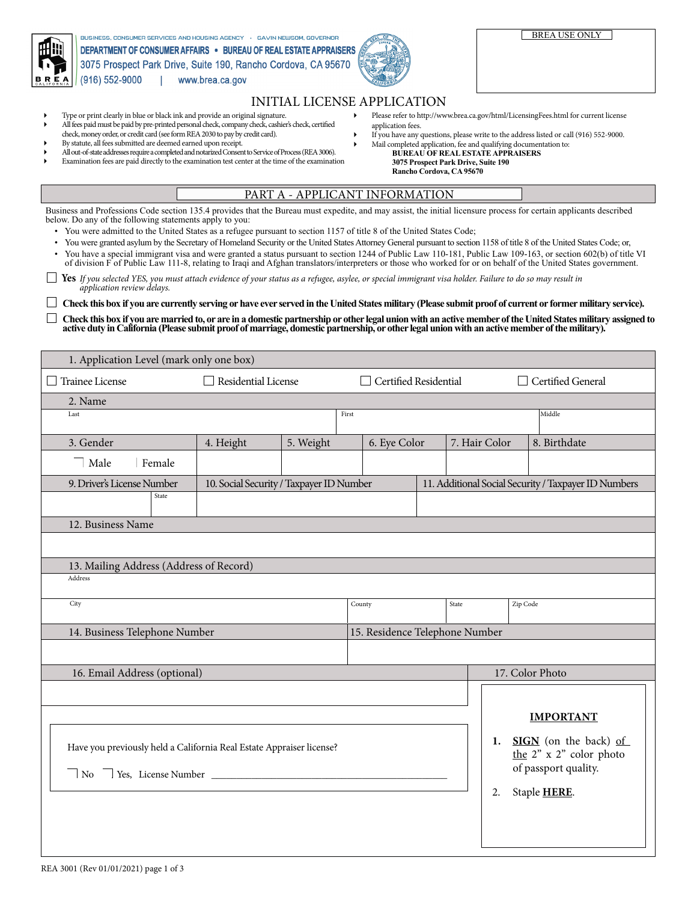

BUSINESS, CONSUMER SERVICES AND HOUSING AGENCY . GAVIN NEUSOM, GOVERNOR DEPARTMENT OF CONSUMER AFFAIRS . BUREAU OF REAL ESTATE APPRAISERS 3075 Prospect Park Drive, Suite 190, Rancho Cordova, CA 95670 (916) 552-9000 www.brea.ca.gov



application fees.

Please refer to http://www.brea.ca.gov/html/LicensingFees.html for current license

If you have any questions, please write to the address listed or call (916) 552-9000.

 Mail completed application, fee and qualifying documentation to: **BUREAU OF REAL ESTATE APPRAISERS 3075 Prospect Park Drive, Suite 190 Rancho Cordova, CA 95670**

# INITIAL LICENSE APPLICATION

- Type or print clearly in blue or black ink and provide an original signature.
- All fees paid must be paid by pre-printed personal check, company check, cashier's check, certified check, money order, or credit card (see form REA 2030 to pay by credit card).
- By statute, all fees submitted are deemed earned upon receipt.
- All out-of-state addresses require a completed and notarized Consent to Service of Process (REA 3006).
- Examination fees are paid directly to the examination test center at the time of the examination

# PART A - APPLICANT Information

Business and Professions Code section 135.4 provides that the Bureau must expedite, and may assist, the initial licensure process for certain applicants described below. Do any of the following statements apply to you:

- • You were admitted to the United States as a refugee pursuant to section 1157 of title 8 of the United States Code;
- • You were granted asylum by the Secretary of Homeland Security or the United States Attorney General pursuant to section 1158 of title 8 of the United States Code; or, You have a special immigrant visa and were granted a status pursuant to section 1244 of Public Law 110-181, Public Law 109-163, or section 602(b) of title VI
- of division F of Public Law 111-8, relating to Iraqi and Afghan translators/interpreters or those who worked for or on behalf of the United States government.

 $\Box$  **Yes** If you selected YES, you must attach evidence of your status as a refugee, asylee, or special immigrant visa holder. Failure to do so may result in *application review delays.* 

**Check this box if you are currently serving or have ever served in the United States military (Please submit proof of current or former military service).**

 **Check this box if you are married to, or are in a domestic partnership or other legal union with an active member of the United States military assigned to active duty in California (Please submit proof of marriage, domestic partnership, or other legal union with an active member of the military).** 

| 1. Application Level (mark only one box)                             |       |                                          |           |                                 |              |  |               |                                                      |          |                                                  |  |
|----------------------------------------------------------------------|-------|------------------------------------------|-----------|---------------------------------|--------------|--|---------------|------------------------------------------------------|----------|--------------------------------------------------|--|
| <b>Trainee License</b>                                               |       | Residential License                      |           | Certified Residential<br>$\Box$ |              |  |               | Certified General                                    |          |                                                  |  |
| 2. Name                                                              |       |                                          |           |                                 |              |  |               |                                                      |          |                                                  |  |
| Last                                                                 |       |                                          |           | First                           |              |  |               |                                                      |          | Middle                                           |  |
| 3. Gender                                                            |       | 4. Height                                | 5. Weight |                                 | 6. Eye Color |  | 7. Hair Color |                                                      |          | 8. Birthdate                                     |  |
| Male<br>$=$ Female                                                   |       |                                          |           |                                 |              |  |               |                                                      |          |                                                  |  |
| 9. Driver's License Number                                           |       | 10. Social Security / Taxpayer ID Number |           |                                 |              |  |               | 11. Additional Social Security / Taxpayer ID Numbers |          |                                                  |  |
|                                                                      | State |                                          |           |                                 |              |  |               |                                                      |          |                                                  |  |
| 12. Business Name                                                    |       |                                          |           |                                 |              |  |               |                                                      |          |                                                  |  |
|                                                                      |       |                                          |           |                                 |              |  |               |                                                      |          |                                                  |  |
| 13. Mailing Address (Address of Record)                              |       |                                          |           |                                 |              |  |               |                                                      |          |                                                  |  |
| Address                                                              |       |                                          |           |                                 |              |  |               |                                                      |          |                                                  |  |
| City                                                                 |       |                                          |           | County                          |              |  | State         |                                                      | Zip Code |                                                  |  |
| 14. Business Telephone Number                                        |       |                                          |           | 15. Residence Telephone Number  |              |  |               |                                                      |          |                                                  |  |
|                                                                      |       |                                          |           |                                 |              |  |               |                                                      |          |                                                  |  |
| 16. Email Address (optional)                                         |       |                                          |           |                                 |              |  |               |                                                      |          | 17. Color Photo                                  |  |
|                                                                      |       |                                          |           |                                 |              |  |               |                                                      |          |                                                  |  |
|                                                                      |       |                                          |           |                                 |              |  |               |                                                      |          |                                                  |  |
|                                                                      |       |                                          |           |                                 |              |  |               |                                                      |          | <b>IMPORTANT</b>                                 |  |
| Have you previously held a California Real Estate Appraiser license? |       |                                          |           |                                 |              |  |               | 1.                                                   |          | SIGN (on the back) of<br>the 2" x 2" color photo |  |
| T Yes, License Number<br>$\overline{\phantom{a}}$ No                 |       |                                          |           |                                 |              |  |               |                                                      |          | of passport quality.                             |  |
|                                                                      |       |                                          |           |                                 |              |  |               | 2.                                                   |          | Staple HERE.                                     |  |
|                                                                      |       |                                          |           |                                 |              |  |               |                                                      |          |                                                  |  |
|                                                                      |       |                                          |           |                                 |              |  |               |                                                      |          |                                                  |  |
|                                                                      |       |                                          |           |                                 |              |  |               |                                                      |          |                                                  |  |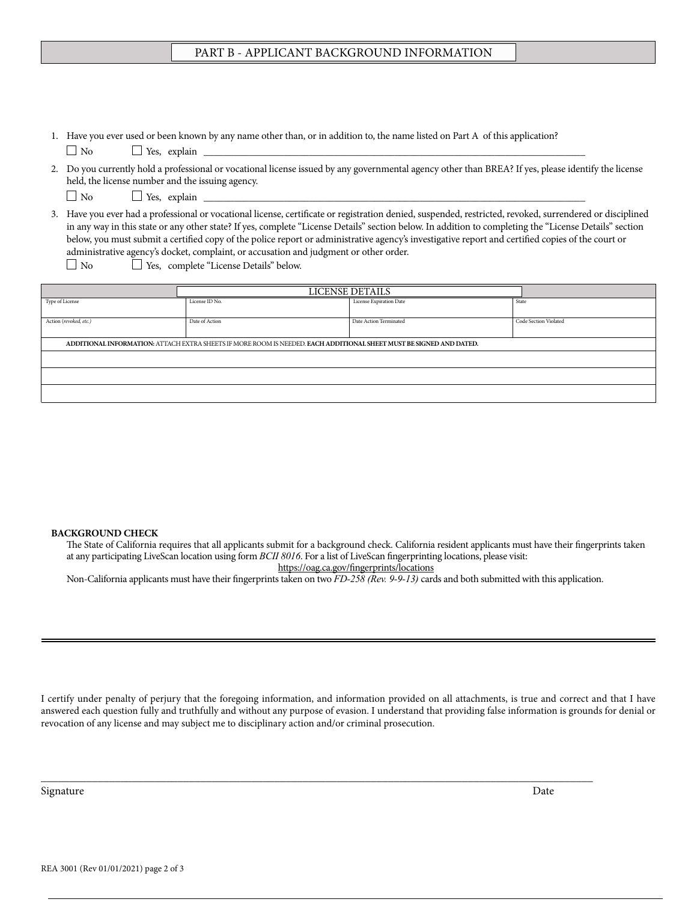## PART B - APPLICANT BACKGROUND INFORMATION

| 1. Have you ever used or been known by any name other than, or in addition to, the name listed on Part A of this application?                                                                                                                                                                                                                                                                                                                                                                                                                                                                                                 |                        |                         |                       |  |  |  |  |
|-------------------------------------------------------------------------------------------------------------------------------------------------------------------------------------------------------------------------------------------------------------------------------------------------------------------------------------------------------------------------------------------------------------------------------------------------------------------------------------------------------------------------------------------------------------------------------------------------------------------------------|------------------------|-------------------------|-----------------------|--|--|--|--|
| $\Box$ No<br>$\Box$ Yes, explain $\Box$                                                                                                                                                                                                                                                                                                                                                                                                                                                                                                                                                                                       |                        |                         |                       |  |  |  |  |
| 2. Do you currently hold a professional or vocational license issued by any governmental agency other than BREA? If yes, please identify the license<br>held, the license number and the issuing agency.<br>$\Box$ Yes, explain $\Box$<br>No<br>$\Box$                                                                                                                                                                                                                                                                                                                                                                        |                        |                         |                       |  |  |  |  |
| Have you ever had a professional or vocational license, certificate or registration denied, suspended, restricted, revoked, surrendered or disciplined<br>3.<br>in any way in this state or any other state? If yes, complete "License Details" section below. In addition to completing the "License Details" section<br>below, you must submit a certified copy of the police report or administrative agency's investigative report and certified copies of the court or<br>administrative agency's docket, complaint, or accusation and judgment or other order.<br>□ Yes, complete "License Details" below.<br>$\Box$ No |                        |                         |                       |  |  |  |  |
|                                                                                                                                                                                                                                                                                                                                                                                                                                                                                                                                                                                                                               | <b>LICENSE DETAILS</b> |                         |                       |  |  |  |  |
| Type of License                                                                                                                                                                                                                                                                                                                                                                                                                                                                                                                                                                                                               | License ID No.         | License Expiration Date | State                 |  |  |  |  |
| Action (revoked, etc.)                                                                                                                                                                                                                                                                                                                                                                                                                                                                                                                                                                                                        | Date of Action         | Date Action Terminated  | Code Section Violated |  |  |  |  |
| ADDITIONAL INFORMATION: ATTACH EXTRA SHEETS IF MORE ROOM IS NEEDED. EACH ADDITIONAL SHEET MUST BE SIGNED AND DATED.                                                                                                                                                                                                                                                                                                                                                                                                                                                                                                           |                        |                         |                       |  |  |  |  |
|                                                                                                                                                                                                                                                                                                                                                                                                                                                                                                                                                                                                                               |                        |                         |                       |  |  |  |  |
|                                                                                                                                                                                                                                                                                                                                                                                                                                                                                                                                                                                                                               |                        |                         |                       |  |  |  |  |
|                                                                                                                                                                                                                                                                                                                                                                                                                                                                                                                                                                                                                               |                        |                         |                       |  |  |  |  |

### **BACKGROUND CHECK**

The State of California requires that all applicants submit for a background check. California resident applicants must have their fingerprints taken at any participating LiveScan location using form *BCII 8016*. For a list of LiveScan fingerprinting locations, please visit: https://oag.ca.gov/fingerprints/locations

Non-California applicants must have their fingerprints taken on two *FD-258 (Rev. 9-9-13)* cards and both submitted with this application.

I certify under penalty of perjury that the foregoing information, and information provided on all attachments, is true and correct and that I have answered each question fully and truthfully and without any purpose of evasion. I understand that providing false information is grounds for denial or revocation of any license and may subject me to disciplinary action and/or criminal prosecution.

 $\_$  ,  $\_$  ,  $\_$  ,  $\_$  ,  $\_$  ,  $\_$  ,  $\_$  ,  $\_$  ,  $\_$  ,  $\_$  ,  $\_$  ,  $\_$  ,  $\_$  ,  $\_$  ,  $\_$  ,  $\_$  ,  $\_$  ,  $\_$  ,  $\_$  ,  $\_$  ,  $\_$  ,  $\_$  ,  $\_$  ,  $\_$  ,  $\_$  ,  $\_$  ,  $\_$  ,  $\_$  ,  $\_$  ,  $\_$  ,  $\_$  ,  $\_$  ,  $\_$  ,  $\_$  ,  $\_$  ,  $\_$  ,  $\_$  ,

**Signature** Date **Date** Date **Date 2016**